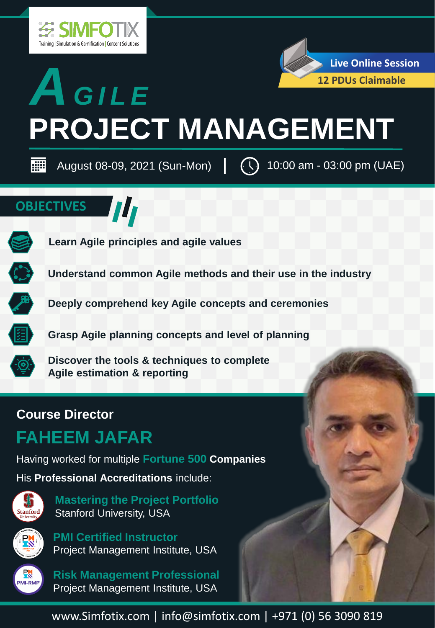



| ee August 08-09, 2021 (Sun-Mon)  $\left[\begin{array}{cc} \end{array}\right]$  10:00 am - 03:00 pm (UAE)

W

### **OBJECTIVES**



**Learn Agile principles and agile values**



**Understand common Agile methods and their use in the industry**



**Deeply comprehend key Agile concepts and ceremonies**

**Grasp Agile planning concepts and level of planning**



**Discover the tools & techniques to complete Agile estimation & reporting**

### **Course Director**

### **FAHEEM JAFAR**

Having worked for multiple **Fortune 500 Companies**

His **Professional Accreditations** include:



**PK** 

**PM** MI-RMP **Mastering the Project Portfolio** Stanford University, USA

**PMI Certified Instructor** Project Management Institute, USA

**Risk Management Professional** Project Management Institute, USA

www.Simfotix.com | info@simfotix.com | +971 (0) 56 3090 819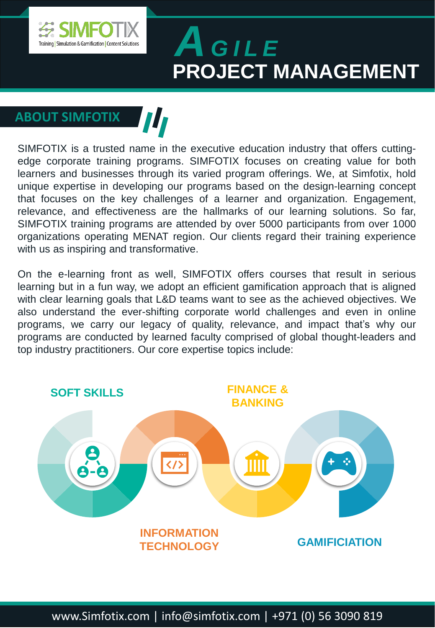

### **ABOUT SIMFOTIX**

SIMFOTIX is a trusted name in the executive education industry that offers cuttingedge corporate training programs. SIMFOTIX focuses on creating value for both learners and businesses through its varied program offerings. We, at Simfotix, hold unique expertise in developing our programs based on the design-learning concept that focuses on the key challenges of a learner and organization. Engagement, relevance, and effectiveness are the hallmarks of our learning solutions. So far, SIMFOTIX training programs are attended by over 5000 participants from over 1000 organizations operating MENAT region. Our clients regard their training experience with us as inspiring and transformative.

On the e-learning front as well, SIMFOTIX offers courses that result in serious learning but in a fun way, we adopt an efficient gamification approach that is aligned with clear learning goals that L&D teams want to see as the achieved objectives. We also understand the ever-shifting corporate world challenges and even in online programs, we carry our legacy of quality, relevance, and impact that's why our programs are conducted by learned faculty comprised of global thought-leaders and top industry practitioners. Our core expertise topics include:

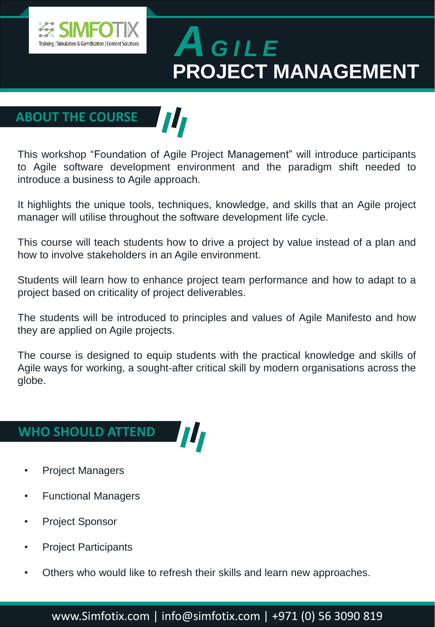

### **ABOUT THE COURSE**

This workshop "Foundation of Agile Project Management" will introduce participants to Agile software development environment and the paradigm shift needed to introduce a business to Agile approach.

III

It highlights the unique tools, techniques, knowledge, and skills that an Agile project manager will utilise throughout the software development life cycle.

This course will teach students how to drive a project by value instead of a plan and how to involve stakeholders in an Agile environment.

Students will learn how to enhance project team performance and how to adapt to a project based on criticality of project deliverables.

The students will be introduced to principles and values of Agile Manifesto and how they are applied on Agile projects.

The course is designed to equip students with the practical knowledge and skills of Agile ways for working, a sought-after critical skill by modern organisations across the globe.

#### **WHO SHOULD ATTEND**

- Project Managers
- Functional Managers
- Project Sponsor
- Project Participants
- Others who would like to refresh their skills and learn new approaches.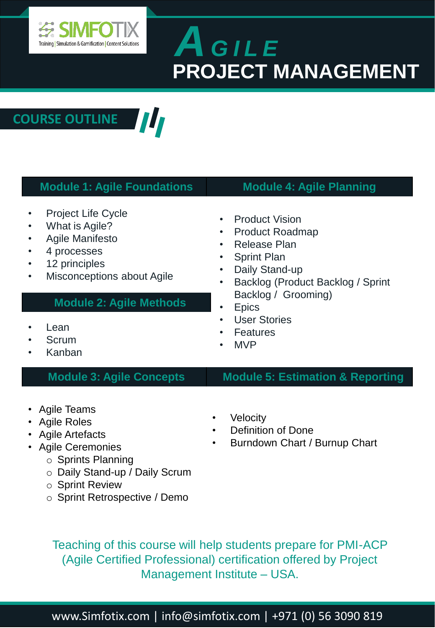

**COURSE OUTLINE** W

| <b>Module 1: Agile Foundations</b>                                                                                                                                                                         | <b>Module 4: Agile Planning</b>                                                                                                                                                                                                                                                                                                                                              |
|------------------------------------------------------------------------------------------------------------------------------------------------------------------------------------------------------------|------------------------------------------------------------------------------------------------------------------------------------------------------------------------------------------------------------------------------------------------------------------------------------------------------------------------------------------------------------------------------|
| <b>Project Life Cycle</b><br>٠<br>What is Agile?<br><b>Agile Manifesto</b><br>4 processes<br>12 principles<br>Misconceptions about Agile<br>٠<br><b>Module 2: Agile Methods</b><br>Lean<br>Scrum<br>Kanban | <b>Product Vision</b><br>$\bullet$<br><b>Product Roadmap</b><br>$\bullet$<br><b>Release Plan</b><br>$\bullet$<br><b>Sprint Plan</b><br>$\bullet$<br>Daily Stand-up<br>$\bullet$<br>Backlog (Product Backlog / Sprint<br>٠<br>Backlog / Grooming)<br><b>Epics</b><br>$\bullet$<br><b>User Stories</b><br>$\bullet$<br><b>Features</b><br>$\bullet$<br><b>MVP</b><br>$\bullet$ |
| <b>Module 3: Agile Concepts</b>                                                                                                                                                                            | <b>Module 5: Estimation &amp; Reporting</b>                                                                                                                                                                                                                                                                                                                                  |
| <b>Agile Teams</b><br><b>Agile Roles</b><br><b>Agile Artefacts</b><br>• Agile Ceremonies<br>$\circ$ Sprints Planning<br>Daily Stand-up / Daily Scrum<br>○ Sprint Review<br>○ Sprint Retrospective / Demo   | Velocity<br>٠<br><b>Definition of Done</b><br>٠<br>Burndown Chart / Burnup Chart<br>٠                                                                                                                                                                                                                                                                                        |

Teaching of this course will help students prepare for PMI-ACP (Agile Certified Professional) certification offered by Project Management Institute – USA.

www.Simfotix.com | info@simfotix.com | +971 (0) 56 3090 819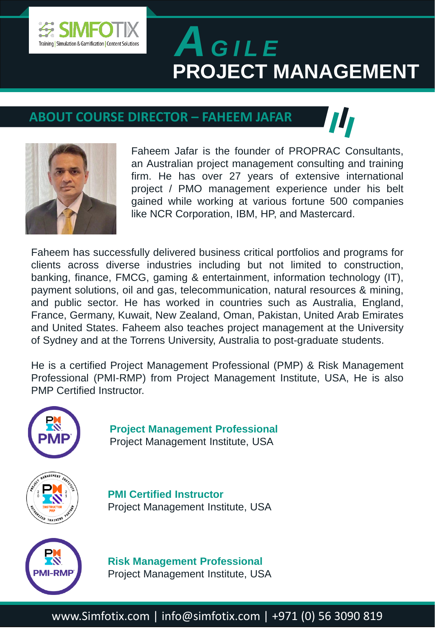

#### **ABOUT COURSE DIRECTOR – FAHEEM JAFAR**



Faheem Jafar is the founder of PROPRAC Consultants, an Australian project management consulting and training firm. He has over 27 years of extensive international project / PMO management experience under his belt gained while working at various fortune 500 companies like NCR Corporation, IBM, HP, and Mastercard.

Faheem has successfully delivered business critical portfolios and programs for clients across diverse industries including but not limited to construction, banking, finance, FMCG, gaming & entertainment, information technology (IT), payment solutions, oil and gas, telecommunication, natural resources & mining, and public sector. He has worked in countries such as Australia, England, France, Germany, Kuwait, New Zealand, Oman, Pakistan, United Arab Emirates and United States. Faheem also teaches project management at the University of Sydney and at the Torrens University, Australia to post-graduate students.

He is a certified Project Management Professional (PMP) & Risk Management Professional (PMI-RMP) from Project Management Institute, USA, He is also PMP Certified Instructor.



**Project Management Professional** Project Management Institute, USA



**PMI Certified Instructor** Project Management Institute, USA



**Risk Management Professional** Project Management Institute, USA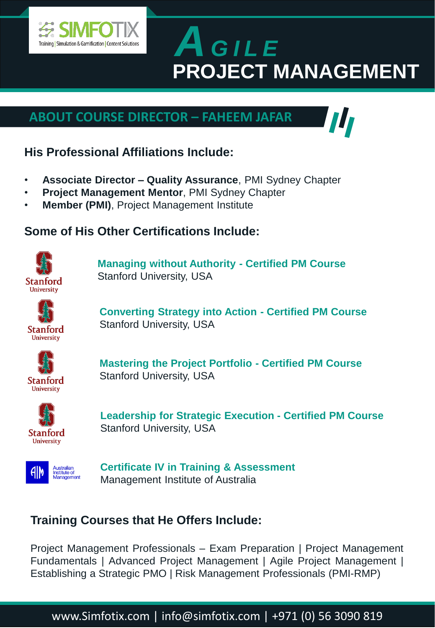

### **ABOUT COURSE DIRECTOR – FAHEEM JAFAR**



- **Associate Director – Quality Assurance**, PMI Sydney Chapter
- **Project Management Mentor**, PMI Sydney Chapter
- **Member (PMI)**, Project Management Institute

#### **Some of His Other Certifications Include:**



**Managing without Authority - Certified PM Course** Stanford University, USA



**Converting Strategy into Action - Certified PM Course** Stanford University, USA



**Mastering the Project Portfolio - Certified PM Course** Stanford University, USA



**Leadership for Strategic Execution - Certified PM Course** Stanford University, USA



**Certificate IV in Training & Assessment** Management Institute of Australia

#### **Training Courses that He Offers Include:**

Project Management Professionals – Exam Preparation | Project Management Fundamentals | Advanced Project Management | Agile Project Management | Establishing a Strategic PMO | Risk Management Professionals (PMI-RMP)